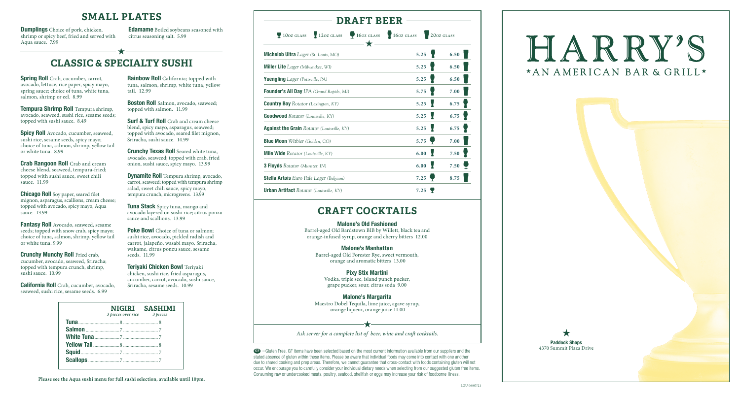

### **SMALL PLATES**

**Spicy Roll** Avocado, cucumber, seaweed, sushi rice, sesame seeds, spicy mayo; choice of tuna, salmon, shrimp, yellow tail or white tuna. 8.99

**Tempura Shrimp Roll** Tempura shrimp, avocado, seaweed, sushi rice, sesame seeds; topped with sushi sauce. 8.49

**Chicago Roll** Soy paper, seared filet mignon, asparagus, scallions, cream cheese; topped with avocado, spicy mayo, Aqua sauce. 13.99

**Fantasy Roll** Avocado, seaweed, sesame seeds; topped with snow crab, spicy mayo; choice of tuna, salmon, shrimp, yellow tail or white tuna. 9.99

**Crunchy Munchy Roll** Fried crab, cucumber, avocado, seaweed, Sriracha; topped with tempura crunch, shrimp, sushi sauce. 10.99

**Crab Rangoon Roll** Crab and cream cheese blend, seaweed, tempura-fried; topped with sushi sauce, sweet chili sauce. 11.99

**Boston Roll** Salmon, avocado, seaweed; topped with salmon.11.99

**Surf & Turf Roll** Crab and cream cheese blend, spicy mayo, asparagus, seaweed; topped with avocado, seared filet mignon, Sriracha, sushi sauce. 14.99

**Crunchy Texas Roll** Seared white tuna, avocado, seaweed; topped with crab, fried onion, sushi sauce, spicy mayo. 13.99

**Poke Bowl** Choice of tuna or salmon; sushi rice, avocado, pickled radish and carrot, jalapeño, wasabi mayo, Sriracha, wakame, citrus ponzu sauce, sesame seeds. 11.99

**California Roll** Crab, cucumber, avocado, seaweed, sushi rice, sesame seeds. 6.99

**Rainbow Roll** California; topped with tuna, salmon, shrimp, white tuna, yellow tail. 12.99

**Dynamite Roll** Tempura shrimp, avocado, carrot, seaweed; topped with tempura shrimp salad, sweet chili sauce, spicy mayo, tempura crunch, microgreens. 13.99

**Tuna Stack** Spicy tuna, mango and avocado layered on sushi rice; citrus ponzu sauce and scallions. 13.99

**Teriyaki Chicken Bowl** Teriyaki chicken, sushi rice, fried asparagus, cucumber, carrot, avocado, sushi sauce, Sriracha, sesame seeds. 10.99

> GF =Gluten Free. GF items have been selected based on the most current information available from our suppliers and the stated absence of gluten within these items. Please be aware that individual foods may come into contact with one another due to shared cooking and prep areas. Therefore, we cannot guarantee that cross-contact with foods containing gluten will not occur. We encourage you to carefully consider your individual dietary needs when selecting from our suggested gluten free items. Consuming raw or undercooked meats, poultry, seafood, shellfish or eggs may increase your risk of foodborne illness.

# **CLASSIC & SPECIALTY SUSHI**

**Spring Roll** Crab, cucumber, carrot, avocado, lettuce, rice paper, spicy mayo, spring sauce; choice of tuna, white tuna, salmon, shrimp or eel. 8.99

| 3 pieces over rice 3 pieces | NIGIRI SASHIMI |
|-----------------------------|----------------|
|                             |                |
|                             |                |
|                             |                |
|                             |                |
|                             |                |
|                             |                |
|                             |                |

**Please see the Aqua sushi menu for full sushi selection, available until 10pm.**

**Dumplings** Choice of pork, chicken, shrimp or spicy beef, fried and served with Aqua sauce. 7.99

**Edamame** Boiled soybeans seasoned with citrus seasoning salt. 5.99

### **DRAFT BEER**

**10oz glass** 12*oz* **<b>glass** 16*oz* **glass** 16*oz* **glass** 120*oz* **glass** 

| 7. | <b>GLASS</b> |  |
|----|--------------|--|

### **CRAFT COCKTAILS**

| <b>Michelob Ultra</b> <i>Lager</i> (St. Louis, $MO$ ) | 5.25 | 6.50                      |
|-------------------------------------------------------|------|---------------------------|
| <b>Miller Lite</b> Lager (Milwaukee, WI)              | 5.25 | 6.50                      |
| <b>Yuengling</b> <i>Lager</i> (Pottsville, PA)        | 5.25 | 6.50                      |
| Founder's All Day IPA (Grand Rapids, MI)              | 5.75 | 7.00                      |
| <b>Country Boy</b> Rotator (Lexington, KY)            | 5.25 | 6.75                      |
| <b>Goodwood</b> Rotator (Louisville, KY)              | 5.25 | 6.75                      |
| <b>Against the Grain Rotator (Louisville, KY)</b>     | 5.25 | 6.75                      |
| <b>Blue Moon</b> Witbier (Golden, CO)                 | 5.75 | 7.00                      |
| Mile Wide Rotator (Louisville, KY)                    | 6.00 | 7.50                      |
| <b>3 Floyds</b> Rotator (Munster, IN)                 | 6.00 | 7.50 $\blacktriangledown$ |
| <b>Stella Artois</b> Euro Pale Lager (Belgium)        | 7.25 | 8.75                      |
| <b>Urban Artifact</b> Rotator (Louisville, KY)        | 7.25 |                           |

*Ask server for a complete list of beer, wine and craft cocktails.*

# HARRY'S \*AN AMERICAN BAR & GRILL\*

#### **Malone's Old Fashioned**

Barrel-aged Old Bardstown BIB by Willett, black tea and orange-infused syrup, orange and cherry bitters 12.00

#### **Malone's Manhattan**

Barrel-aged Old Forester Rye, sweet vermouth, orange and aromatic bitters 13.00

#### **Pixy Stix Martini**

Vodka, triple sec, island punch pucker, grape pucker, sour, citrus soda 9.00

### **Malone's Margarita**

Maestro Dobel Tequila, lime juice, agave syrup, orange liqueur, orange juice 11.00